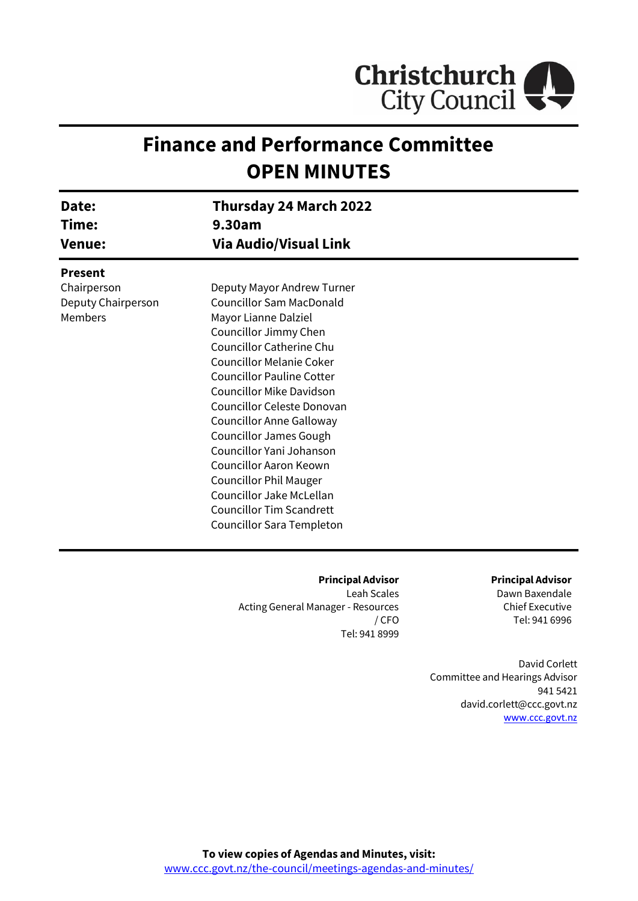

# **Finance and Performance Committee OPEN MINUTES**

| Date:<br>Time:<br><b>Venue:</b> | Thursday 24 March 2022<br>9.30am<br>Via Audio/Visual Link |  |
|---------------------------------|-----------------------------------------------------------|--|
|                                 |                                                           |  |
| Chairperson                     | Deputy Mayor Andrew Turner                                |  |
| Deputy Chairperson              | <b>Councillor Sam MacDonald</b>                           |  |
| <b>Members</b>                  | Mayor Lianne Dalziel                                      |  |
|                                 | Councillor Jimmy Chen                                     |  |
|                                 | <b>Councillor Catherine Chu</b>                           |  |
|                                 | <b>Councillor Melanie Coker</b>                           |  |
|                                 | <b>Councillor Pauline Cotter</b>                          |  |
|                                 | <b>Councillor Mike Davidson</b>                           |  |
|                                 | Councillor Celeste Donovan                                |  |
|                                 | <b>Councillor Anne Galloway</b>                           |  |
|                                 | <b>Councillor James Gough</b>                             |  |
|                                 | Councillor Yani Johanson                                  |  |
|                                 | Councillor Aaron Keown                                    |  |
|                                 | <b>Councillor Phil Mauger</b>                             |  |
|                                 | Councillor Jake McLellan                                  |  |
|                                 | <b>Councillor Tim Scandrett</b>                           |  |
|                                 | <b>Councillor Sara Templeton</b>                          |  |

#### **Principal Advisor** Leah Scales Acting General Manager - Resources

/ CFO Tel: 941 8999 **Principal Advisor** Dawn Baxendale Chief Executive Tel: 941 6996

David Corlett Committee and Hearings Advisor 941 5421 david.corlett@ccc.govt.nz [www.ccc.govt.nz](http://www.ccc.govt.nz/)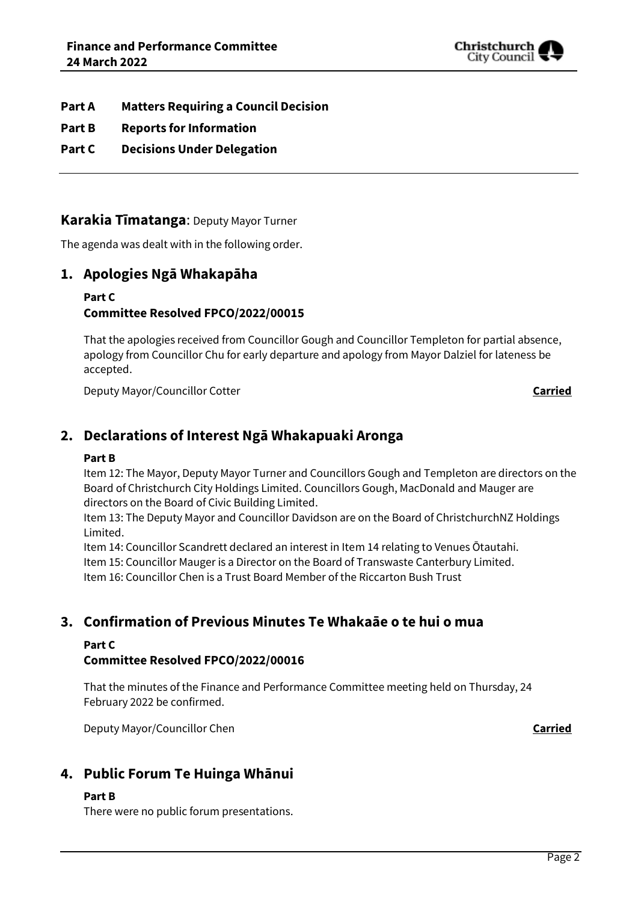

- **Part A Matters Requiring a Council Decision**
- **Part B Reports for Information**
- **Part C Decisions Under Delegation**

#### **Karakia Tīmatanga**: Deputy Mayor Turner

The agenda was dealt with in the following order.

### **1. Apologies Ngā Whakapāha**

#### **Part C Committee Resolved FPCO/2022/00015**

That the apologies received from Councillor Gough and Councillor Templeton for partial absence, apology from Councillor Chu for early departure and apology from Mayor Dalziel for lateness be accepted.

Deputy Mayor/Councillor Cotter **Carried**

## **2. Declarations of Interest Ngā Whakapuaki Aronga**

#### **Part B**

Item 12: The Mayor, Deputy Mayor Turner and Councillors Gough and Templeton are directors on the Board of Christchurch City Holdings Limited. Councillors Gough, MacDonald and Mauger are directors on the Board of Civic Building Limited.

Item 13: The Deputy Mayor and Councillor Davidson are on the Board of ChristchurchNZ Holdings Limited.

Item 14: Councillor Scandrett declared an interest in Item 14 relating to Venues Ōtautahi. Item 15: Councillor Mauger is a Director on the Board of Transwaste Canterbury Limited. Item 16: Councillor Chen is a Trust Board Member of the Riccarton Bush Trust

## **3. Confirmation of Previous Minutes Te Whakaāe o te hui o mua**

#### **Part C**

### **Committee Resolved FPCO/2022/00016**

That the minutes of the Finance and Performance Committee meeting held on Thursday, 24 February 2022 be confirmed.

Deputy Mayor/Councillor Chen **Carried**

## **4. Public Forum Te Huinga Whānui**

#### **Part B**

There were no public forum presentations.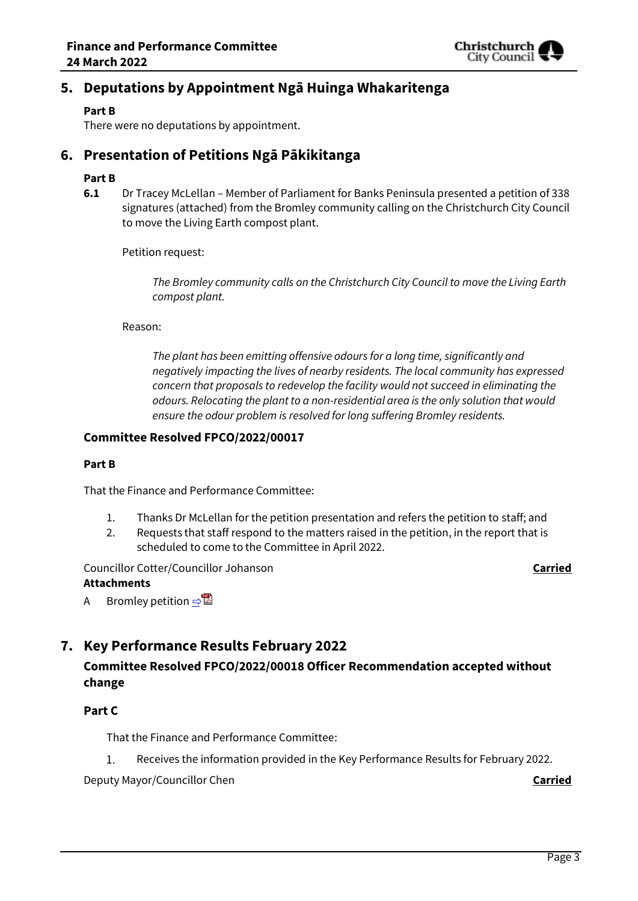

## **5. Deputations by Appointment Ngā Huinga Whakaritenga**

#### **Part B**

There were no deputations by appointment.

## **6. Presentation of Petitions Ngā Pākikitanga**

#### **Part B**

**6.1** Dr Tracey McLellan – Member of Parliament for Banks Peninsula presented a petition of 338 signatures (attached) from the Bromley community calling on the Christchurch City Council to move the Living Earth compost plant.

Petition request:

*The Bromley community calls on the Christchurch City Council to move the Living Earth compost plant.*

#### Reason:

*The plant has been emitting offensive odours for a long time, significantly and negatively impacting the lives of nearby residents. The local community has expressed concern that proposals to redevelop the facility would not succeed in eliminating the odours. Relocating the plant to a non-residential area is the only solution that would ensure the odour problem is resolved for long suffering Bromley residents.*

#### **Committee Resolved FPCO/2022/00017**

#### **Part B**

That the Finance and Performance Committee:

- 1. Thanks Dr McLellan for the petition presentation and refers the petition to staff; and
- 2. Requests that staff respond to the matters raised in the petition, in the report that is scheduled to come to the Committee in April 2022.

Councillor Cotter/Councillor Johanson **Carried**

#### **Attachments**

A Bromley petition  $\Rightarrow$ 

## **7. Key Performance Results February 2022**

### **Committee Resolved FPCO/2022/00018 Officer Recommendation accepted without change**

#### **Part C**

That the Finance and Performance Committee:

 $1.$ Receives the information provided in the Key Performance Results for February 2022.

Deputy Mayor/Councillor Chen **Carried**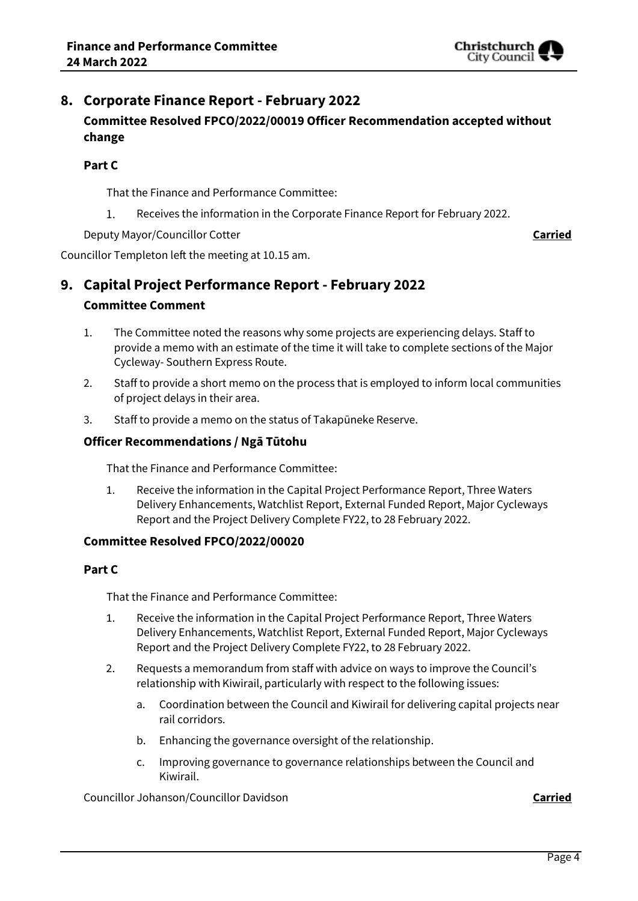

## **8. Corporate Finance Report - February 2022 Committee Resolved FPCO/2022/00019 Officer Recommendation accepted without change**

#### **Part C**

That the Finance and Performance Committee:

 $1.$ Receives the information in the Corporate Finance Report for February 2022.

Deputy Mayor/Councillor Cotter **Carried**

Councillor Templeton left the meeting at 10.15 am.

## **9. Capital Project Performance Report - February 2022 Committee Comment**

- 1. The Committee noted the reasons why some projects are experiencing delays. Staff to provide a memo with an estimate of the time it will take to complete sections of the Major Cycleway- Southern Express Route.
- 2. Staff to provide a short memo on the process that is employed to inform local communities of project delays in their area.
- 3. Staff to provide a memo on the status of Takapūneke Reserve.

#### **Officer Recommendations / Ngā Tūtohu**

That the Finance and Performance Committee:

1. Receive the information in the Capital Project Performance Report, Three Waters Delivery Enhancements, Watchlist Report, External Funded Report, Major Cycleways Report and the Project Delivery Complete FY22, to 28 February 2022.

#### **Committee Resolved FPCO/2022/00020**

#### **Part C**

That the Finance and Performance Committee:

- 1. Receive the information in the Capital Project Performance Report, Three Waters Delivery Enhancements, Watchlist Report, External Funded Report, Major Cycleways Report and the Project Delivery Complete FY22, to 28 February 2022.
- 2. Requests a memorandum from staff with advice on ways to improve the Council's relationship with Kiwirail, particularly with respect to the following issues:
	- a. Coordination between the Council and Kiwirail for delivering capital projects near rail corridors.
	- b. Enhancing the governance oversight of the relationship.
	- c. Improving governance to governance relationships between the Council and Kiwirail.

Councillor Johanson/Councillor Davidson **Carried**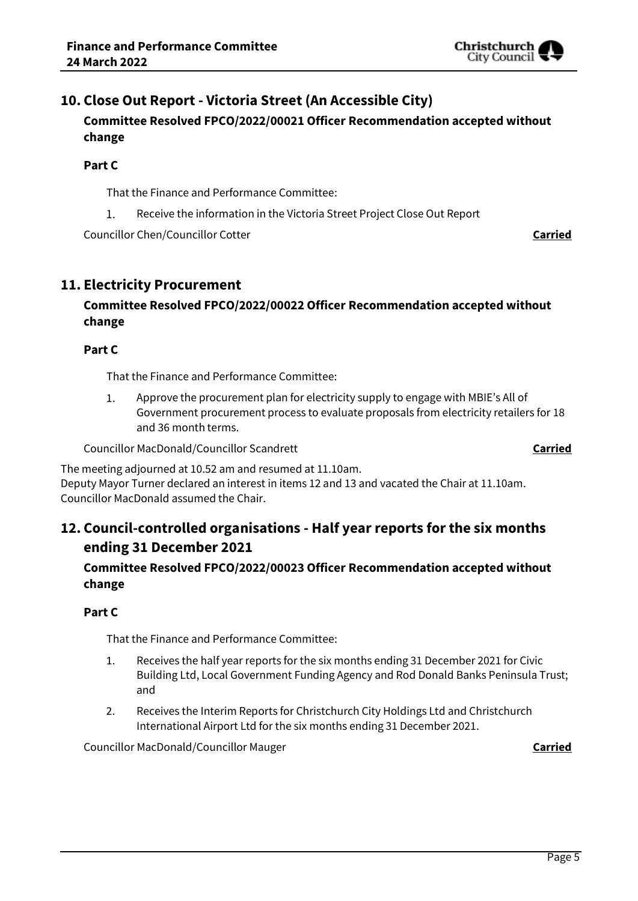

## **10. Close Out Report - Victoria Street (An Accessible City)**

**Committee Resolved FPCO/2022/00021 Officer Recommendation accepted without change**

#### **Part C**

That the Finance and Performance Committee:

Receive the information in the Victoria Street Project Close Out Report 1.

Councillor Chen/Councillor Cotter **Carried**

## **11. Electricity Procurement**

## **Committee Resolved FPCO/2022/00022 Officer Recommendation accepted without change**

#### **Part C**

That the Finance and Performance Committee:

 $1.$ Approve the procurement plan for electricity supply to engage with MBIE's All of Government procurement process to evaluate proposals from electricity retailers for 18 and 36 month terms.

Councillor MacDonald/Councillor Scandrett **Carried**

The meeting adjourned at 10.52 am and resumed at 11.10am. Deputy Mayor Turner declared an interest in items 12 and 13 and vacated the Chair at 11.10am. Councillor MacDonald assumed the Chair.

## **12. Council-controlled organisations - Half year reports for the six months ending 31 December 2021**

#### **Committee Resolved FPCO/2022/00023 Officer Recommendation accepted without change**

#### **Part C**

That the Finance and Performance Committee:

- 1. Receives the half year reports for the six months ending 31 December 2021 for Civic Building Ltd, Local Government Funding Agency and Rod Donald Banks Peninsula Trust; and
- 2. Receives the Interim Reports for Christchurch City Holdings Ltd and Christchurch International Airport Ltd for the six months ending 31 December 2021.

Councillor MacDonald/Councillor Mauger **Carried**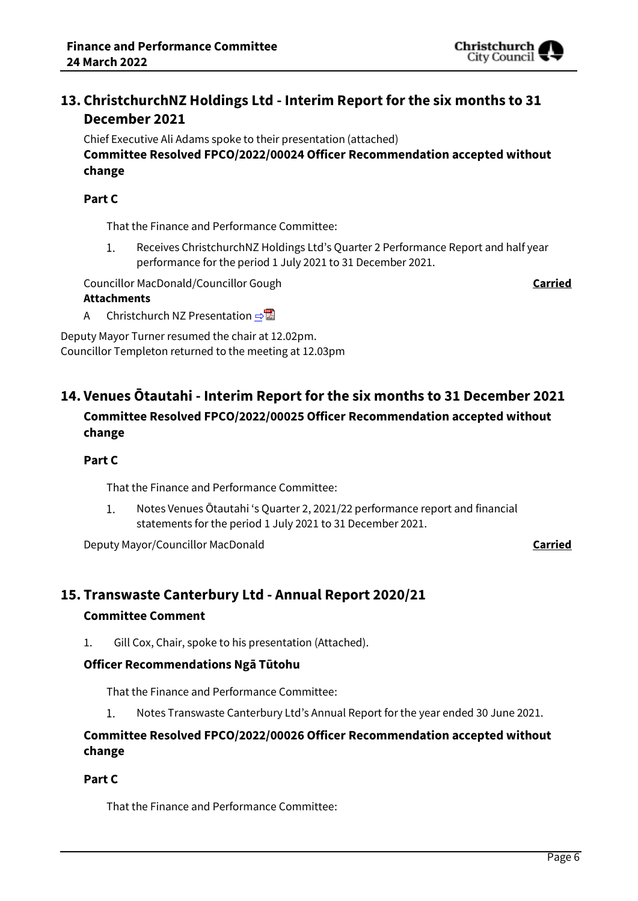

## **13. ChristchurchNZ Holdings Ltd - Interim Report for the six months to 31 December 2021**

Chief Executive Ali Adams spoke to their presentation (attached) **Committee Resolved FPCO/2022/00024 Officer Recommendation accepted without change**

#### **Part C**

That the Finance and Performance Committee:

Receives ChristchurchNZ Holdings Ltd's Quarter 2 Performance Report and half year  $1.$ performance for the period 1 July 2021 to 31 December 2021.

Councillor MacDonald/Councillor Gough **Carried**

#### **Attachments**

A Christchurch NZ Presentation ⇒

Deputy Mayor Turner resumed the chair at 12.02pm. Councillor Templeton returned to the meeting at 12.03pm

## **14. Venues Ōtautahi - Interim Report for the six months to 31 December 2021 Committee Resolved FPCO/2022/00025 Officer Recommendation accepted without change**

#### **Part C**

That the Finance and Performance Committee:

 $1.$ Notes Venues Ōtautahi 's Quarter 2, 2021/22 performance report and financial statements for the period 1 July 2021 to 31 December 2021.

Deputy Mayor/Councillor MacDonald **Carried**

## **15. Transwaste Canterbury Ltd - Annual Report 2020/21**

#### **Committee Comment**

1. Gill Cox, Chair, spoke to his presentation (Attached).

#### **Officer Recommendations Ngā Tūtohu**

That the Finance and Performance Committee:

Notes Transwaste Canterbury Ltd's Annual Report for the year ended 30 June 2021. 1.

### **Committee Resolved FPCO/2022/00026 Officer Recommendation accepted without change**

#### **Part C**

That the Finance and Performance Committee: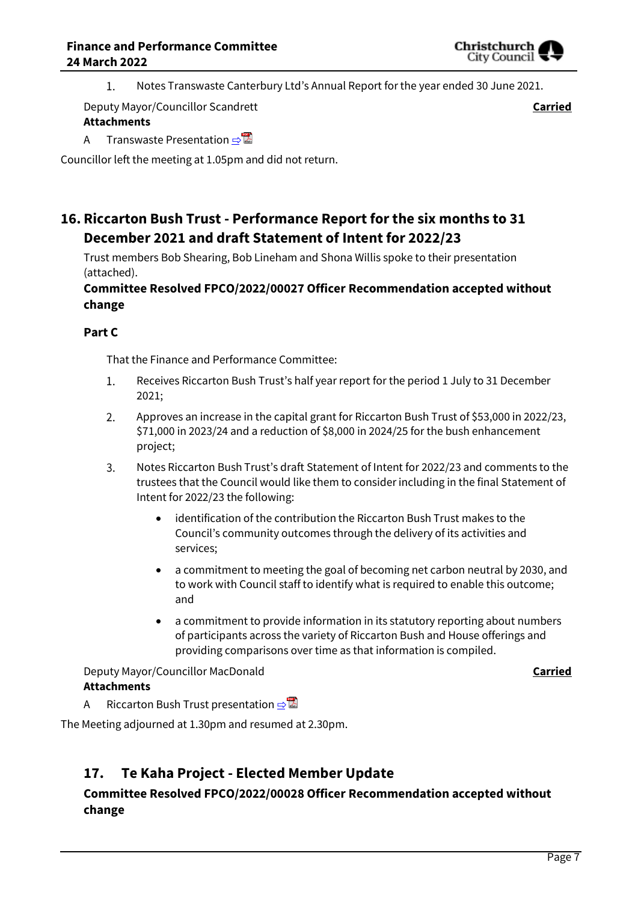

Notes Transwaste Canterbury Ltd's Annual Report for the year ended 30 June 2021. 1.

Deputy Mayor/Councillor Scandrett **Carried**

#### **Attachments**

A Transwaste Presentation ⇒

Councillor left the meeting at 1.05pm and did not return.

## **16. Riccarton Bush Trust - Performance Report for the six months to 31 December 2021 and draft Statement of Intent for 2022/23**

Trust members Bob Shearing, Bob Lineham and Shona Willis spoke to their presentation (attached).

#### **Committee Resolved FPCO/2022/00027 Officer Recommendation accepted without change**

#### **Part C**

That the Finance and Performance Committee:

- Receives Riccarton Bush Trust's half year report for the period 1 July to 31 December 1. 2021;
- $2.$ Approves an increase in the capital grant for Riccarton Bush Trust of \$53,000 in 2022/23, \$71,000 in 2023/24 and a reduction of \$8,000 in 2024/25 for the bush enhancement project;
- 3. Notes Riccarton Bush Trust's draft Statement of Intent for 2022/23 and comments to the trustees that the Council would like them to consider including in the final Statement of Intent for 2022/23 the following:
	- identification of the contribution the Riccarton Bush Trust makes to the Council's community outcomes through the delivery of its activities and services;
	- a commitment to meeting the goal of becoming net carbon neutral by 2030, and to work with Council staff to identify what is required to enable this outcome; and
	- a commitment to provide information in its statutory reporting about numbers of participants across the variety of Riccarton Bush and House offerings and providing comparisons over time as that information is compiled.

Deputy Mayor/Councillor MacDonald **Carried Attachments**

A Riccarton Bush Trust presentation  $\Rightarrow$ 

The Meeting adjourned at 1.30pm and resumed at 2.30pm.

## **17. Te Kaha Project - Elected Member Update**

### **Committee Resolved FPCO/2022/00028 Officer Recommendation accepted without change**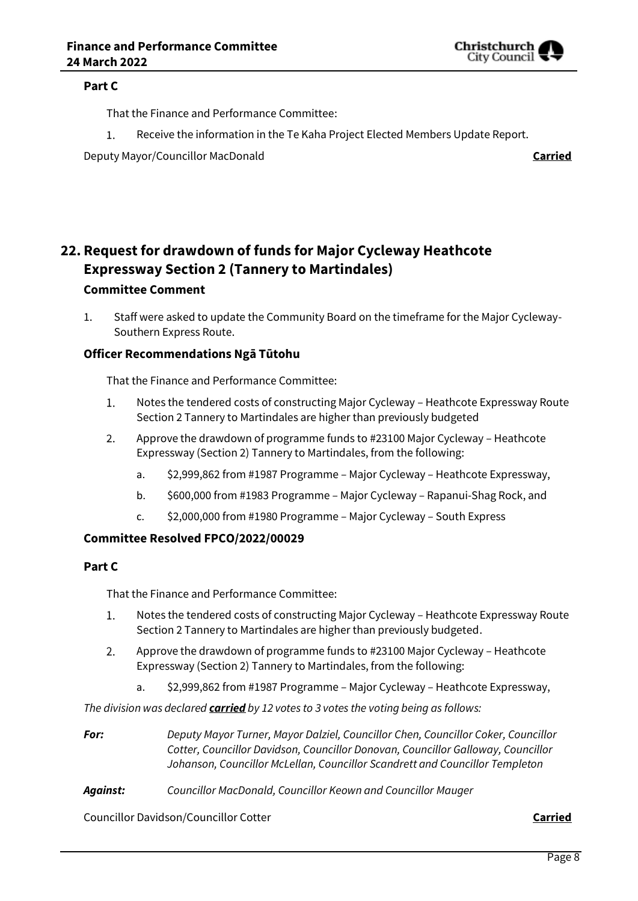

#### **Part C**

That the Finance and Performance Committee:

 $1.$ Receive the information in the Te Kaha Project Elected Members Update Report.

Deputy Mayor/Councillor MacDonald **Carried**

## **22. Request for drawdown of funds for Major Cycleway Heathcote Expressway Section 2 (Tannery to Martindales)**

#### **Committee Comment**

1. Staff were asked to update the Community Board on the timeframe for the Major Cycleway-Southern Express Route.

#### **Officer Recommendations Ngā Tūtohu**

That the Finance and Performance Committee:

- $1.$ Notes the tendered costs of constructing Major Cycleway – Heathcote Expressway Route Section 2 Tannery to Martindales are higher than previously budgeted
- $2.$ Approve the drawdown of programme funds to #23100 Major Cycleway – Heathcote Expressway (Section 2) Tannery to Martindales, from the following:
	- a. \$2,999,862 from #1987 Programme Major Cycleway Heathcote Expressway,
	- b. \$600,000 from #1983 Programme Major Cycleway Rapanui-Shag Rock, and
	- c. \$2,000,000 from #1980 Programme Major Cycleway South Express

#### **Committee Resolved FPCO/2022/00029**

#### **Part C**

That the Finance and Performance Committee:

- $1.$ Notes the tendered costs of constructing Major Cycleway – Heathcote Expressway Route Section 2 Tannery to Martindales are higher than previously budgeted.
- $2.$ Approve the drawdown of programme funds to #23100 Major Cycleway – Heathcote Expressway (Section 2) Tannery to Martindales, from the following:
	- a. \$2,999,862 from #1987 Programme Major Cycleway Heathcote Expressway,

*The division was declared carried by 12 votes to 3 votes the voting being as follows:*

*For: Deputy Mayor Turner, Mayor Dalziel, Councillor Chen, Councillor Coker, Councillor Cotter, Councillor Davidson, Councillor Donovan, Councillor Galloway, Councillor Johanson, Councillor McLellan, Councillor Scandrett and Councillor Templeton*

#### *Against: Councillor MacDonald, Councillor Keown and Councillor Mauger*

Councillor Davidson/Councillor Cotter **Carried**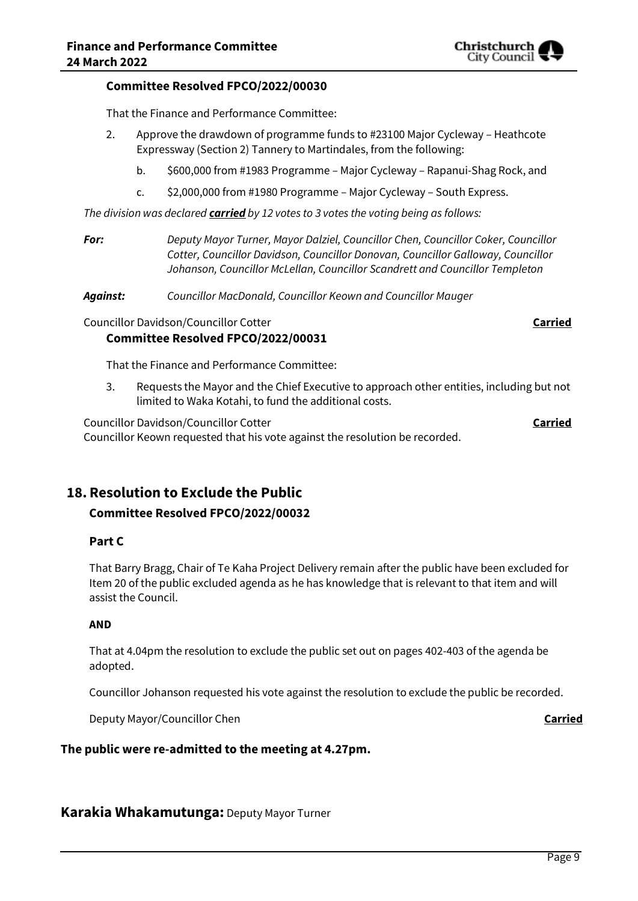#### **Committee Resolved FPCO/2022/00030**

That the Finance and Performance Committee:

- 2. Approve the drawdown of programme funds to #23100 Major Cycleway Heathcote Expressway (Section 2) Tannery to Martindales, from the following:
	- b. \$600,000 from #1983 Programme Major Cycleway Rapanui-Shag Rock, and
	- c. \$2,000,000 from #1980 Programme Major Cycleway South Express.

*The division was declared carried by 12 votes to 3 votes the voting being as follows:*

- *For: Deputy Mayor Turner, Mayor Dalziel, Councillor Chen, Councillor Coker, Councillor Cotter, Councillor Davidson, Councillor Donovan, Councillor Galloway, Councillor Johanson, Councillor McLellan, Councillor Scandrett and Councillor Templeton*
- *Against: Councillor MacDonald, Councillor Keown and Councillor Mauger*

Councillor Davidson/Councillor Cotter **Carried**

### **Committee Resolved FPCO/2022/00031**

That the Finance and Performance Committee:

3. Requests the Mayor and the Chief Executive to approach other entities, including but not limited to Waka Kotahi, to fund the additional costs.

Councillor Davidson/Councillor Cotter **Carried** Councillor Keown requested that his vote against the resolution be recorded.

## **18. Resolution to Exclude the Public**

#### **Committee Resolved FPCO/2022/00032**

#### **Part C**

That Barry Bragg, Chair of Te Kaha Project Delivery remain after the public have been excluded for Item 20 of the public excluded agenda as he has knowledge that is relevant to that item and will assist the Council.

#### **AND**

That at 4.04pm the resolution to exclude the public set out on pages 402-403 of the agenda be adopted.

Councillor Johanson requested his vote against the resolution to exclude the public be recorded.

Deputy Mayor/Councillor Chen **Carried**

#### **The public were re-admitted to the meeting at 4.27pm.**

**Karakia Whakamutunga:** Deputy Mayor Turner